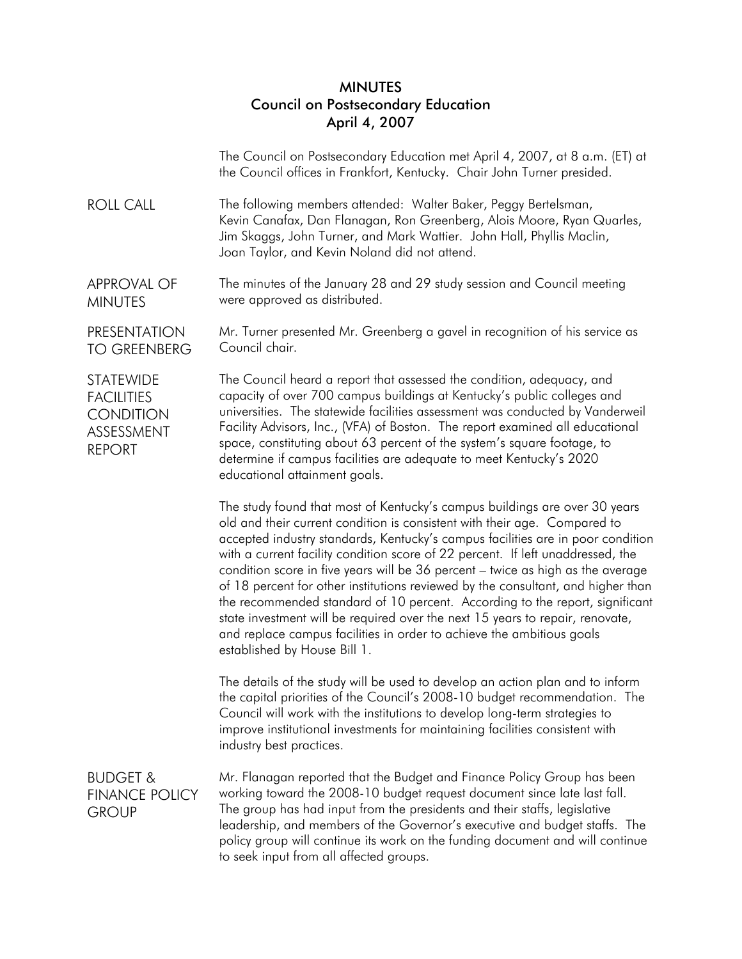## **MINUTES** Council on Postsecondary Education April 4, 2007

The Council on Postsecondary Education met April 4, 2007, at 8 a.m. (ET) at the Council offices in Frankfort, Kentucky. Chair John Turner presided.

ROLL CALL The following members attended: Walter Baker, Peggy Bertelsman, Kevin Canafax, Dan Flanagan, Ron Greenberg, Alois Moore, Ryan Quarles, Jim Skaggs, John Turner, and Mark Wattier. John Hall, Phyllis Maclin, Joan Taylor, and Kevin Noland did not attend.

APPROVAL OF MINUTES The minutes of the January 28 and 29 study session and Council meeting were approved as distributed.

PRESENTATION TO GREENBERG Mr. Turner presented Mr. Greenberg a gavel in recognition of his service as Council chair.

**STATEWIDE** FACILITIES **CONDITION** ASSESSMENT REPORT

The Council heard a report that assessed the condition, adequacy, and capacity of over 700 campus buildings at Kentucky's public colleges and universities. The statewide facilities assessment was conducted by Vanderweil Facility Advisors, Inc., (VFA) of Boston. The report examined all educational space, constituting about 63 percent of the system's square footage, to determine if campus facilities are adequate to meet Kentucky's 2020 educational attainment goals.

The study found that most of Kentucky's campus buildings are over 30 years old and their current condition is consistent with their age. Compared to accepted industry standards, Kentucky's campus facilities are in poor condition with a current facility condition score of 22 percent. If left unaddressed, the condition score in five years will be 36 percent – twice as high as the average of 18 percent for other institutions reviewed by the consultant, and higher than the recommended standard of 10 percent. According to the report, significant state investment will be required over the next 15 years to repair, renovate, and replace campus facilities in order to achieve the ambitious goals established by House Bill 1.

The details of the study will be used to develop an action plan and to inform the capital priorities of the Council's 2008-10 budget recommendation. The Council will work with the institutions to develop long-term strategies to improve institutional investments for maintaining facilities consistent with industry best practices.

BUDGET & FINANCE POLICY **GROUP** 

Mr. Flanagan reported that the Budget and Finance Policy Group has been working toward the 2008-10 budget request document since late last fall. The group has had input from the presidents and their staffs, legislative leadership, and members of the Governor's executive and budget staffs. The policy group will continue its work on the funding document and will continue to seek input from all affected groups.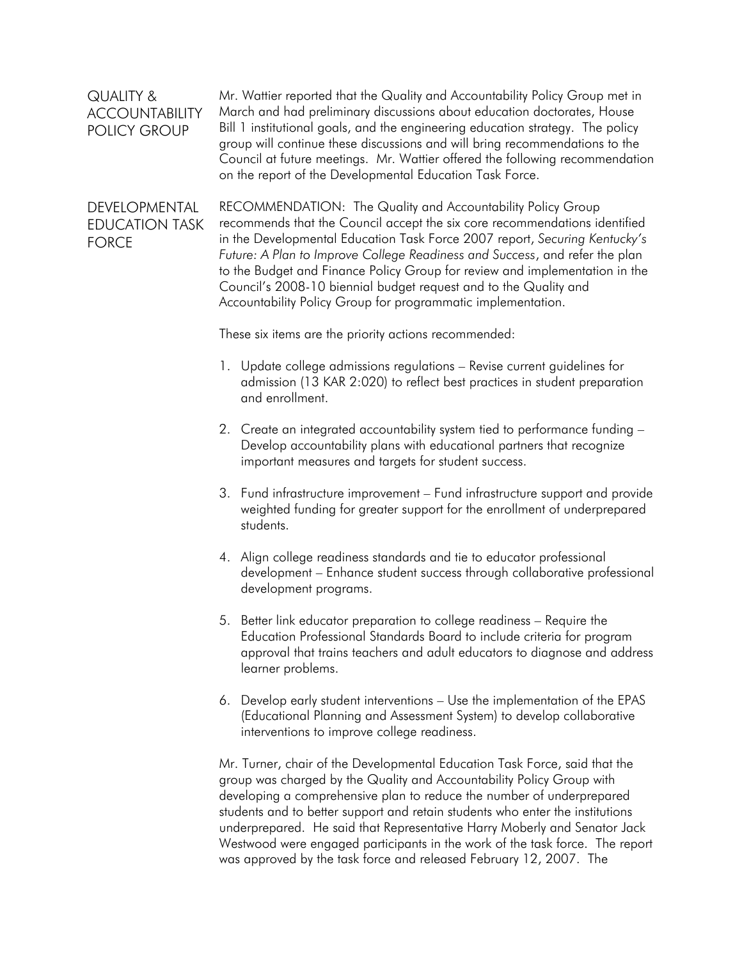| <b>QUALITY &amp;</b><br><b>ACCOUNTABILITY</b><br><b>POLICY GROUP</b> | Mr. Wattier reported that the Quality and Accountability Policy Group met in<br>March and had preliminary discussions about education doctorates, House<br>Bill 1 institutional goals, and the engineering education strategy. The policy<br>group will continue these discussions and will bring recommendations to the<br>Council at future meetings. Mr. Wattier offered the following recommendation<br>on the report of the Developmental Education Task Force. |
|----------------------------------------------------------------------|----------------------------------------------------------------------------------------------------------------------------------------------------------------------------------------------------------------------------------------------------------------------------------------------------------------------------------------------------------------------------------------------------------------------------------------------------------------------|
| DEVELOPMENTAL<br><b>EDUCATION TASK</b><br><b>FORCE</b>               | RECOMMENDATION: The Quality and Accountability Policy Group<br>recommends that the Council accept the six core recommendations identified<br>in the Developmental Education Task Force 2007 report, Securing Kentucky's<br>Future: A Plan to Improve College Readiness and Success, and refer the plan                                                                                                                                                               |

to the Budget and Finance Policy Group for review and implementation in the Council's 2008-10 biennial budget request and to the Quality and Accountability Policy Group for programmatic implementation.

These six items are the priority actions recommended:

- 1. Update college admissions regulations Revise current guidelines for admission (13 KAR 2:020) to reflect best practices in student preparation and enrollment.
- 2. Create an integrated accountability system tied to performance funding Develop accountability plans with educational partners that recognize important measures and targets for student success.
- 3. Fund infrastructure improvement Fund infrastructure support and provide weighted funding for greater support for the enrollment of underprepared students.
- 4. Align college readiness standards and tie to educator professional development – Enhance student success through collaborative professional development programs.
- 5. Better link educator preparation to college readiness Require the Education Professional Standards Board to include criteria for program approval that trains teachers and adult educators to diagnose and address learner problems.
- 6. Develop early student interventions Use the implementation of the EPAS (Educational Planning and Assessment System) to develop collaborative interventions to improve college readiness.

Mr. Turner, chair of the Developmental Education Task Force, said that the group was charged by the Quality and Accountability Policy Group with developing a comprehensive plan to reduce the number of underprepared students and to better support and retain students who enter the institutions underprepared. He said that Representative Harry Moberly and Senator Jack Westwood were engaged participants in the work of the task force. The report was approved by the task force and released February 12, 2007. The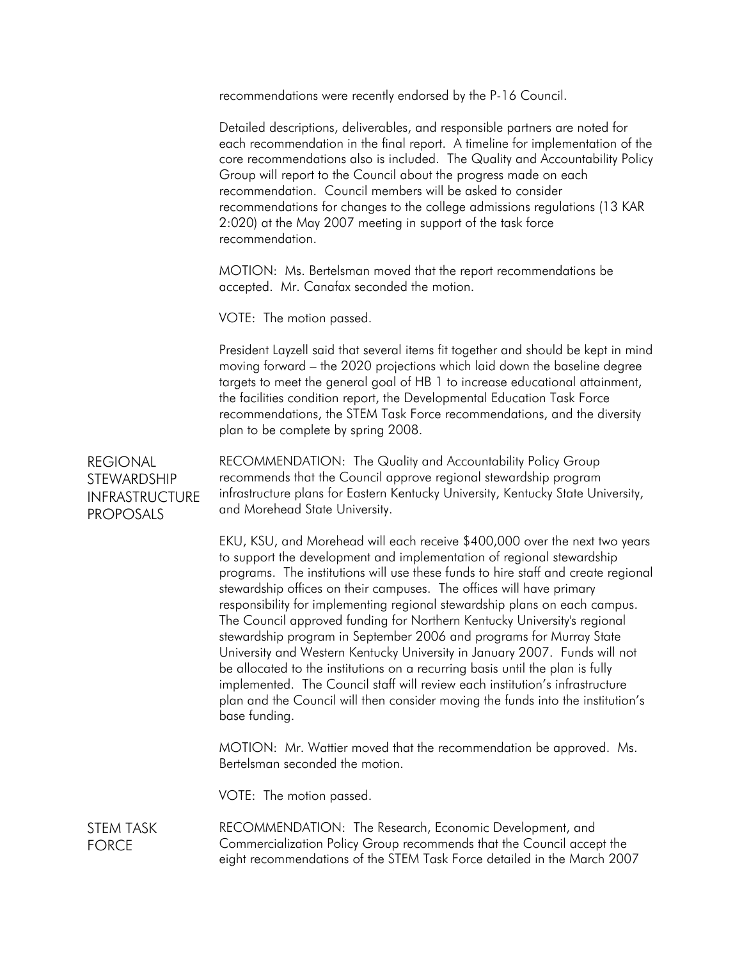recommendations were recently endorsed by the P-16 Council.

Detailed descriptions, deliverables, and responsible partners are noted for each recommendation in the final report. A timeline for implementation of the core recommendations also is included. The Quality and Accountability Policy Group will report to the Council about the progress made on each recommendation. Council members will be asked to consider recommendations for changes to the college admissions regulations (13 KAR 2:020) at the May 2007 meeting in support of the task force recommendation.

MOTION: Ms. Bertelsman moved that the report recommendations be accepted. Mr. Canafax seconded the motion.

VOTE: The motion passed.

President Layzell said that several items fit together and should be kept in mind moving forward – the 2020 projections which laid down the baseline degree targets to meet the general goal of HB 1 to increase educational attainment, the facilities condition report, the Developmental Education Task Force recommendations, the STEM Task Force recommendations, and the diversity plan to be complete by spring 2008.

REGIONAL STEWARDSHIP INFRASTRUCTURE PROPOSALS RECOMMENDATION: The Quality and Accountability Policy Group recommends that the Council approve regional stewardship program infrastructure plans for Eastern Kentucky University, Kentucky State University, and Morehead State University.

> EKU, KSU, and Morehead will each receive \$400,000 over the next two years to support the development and implementation of [regional stewardship](http://cpe.ky.gov/policies/budget/reg_steward_program.htm)  [programs.](http://cpe.ky.gov/policies/budget/reg_steward_program.htm) The institutions will use these funds to hire staff and create regional stewardship offices on their campuses. The offices will have primary responsibility for implementing regional stewardship plans on each campus. The Council approved funding for Northern Kentucky University's regional stewardship program in September 2006 and programs for Murray State University and Western Kentucky University in January 2007. Funds will not be allocated to the institutions on a recurring basis until the plan is fully implemented. The Council staff will review each institution's infrastructure plan and the Council will then consider moving the funds into the institution's base funding.

MOTION: Mr. Wattier moved that the recommendation be approved. Ms. Bertelsman seconded the motion.

VOTE: The motion passed.

STEM TASK FORCE RECOMMENDATION: The Research, Economic Development, and Commercialization Policy Group recommends that the Council accept the eight recommendations of the STEM Task Force detailed in the March 2007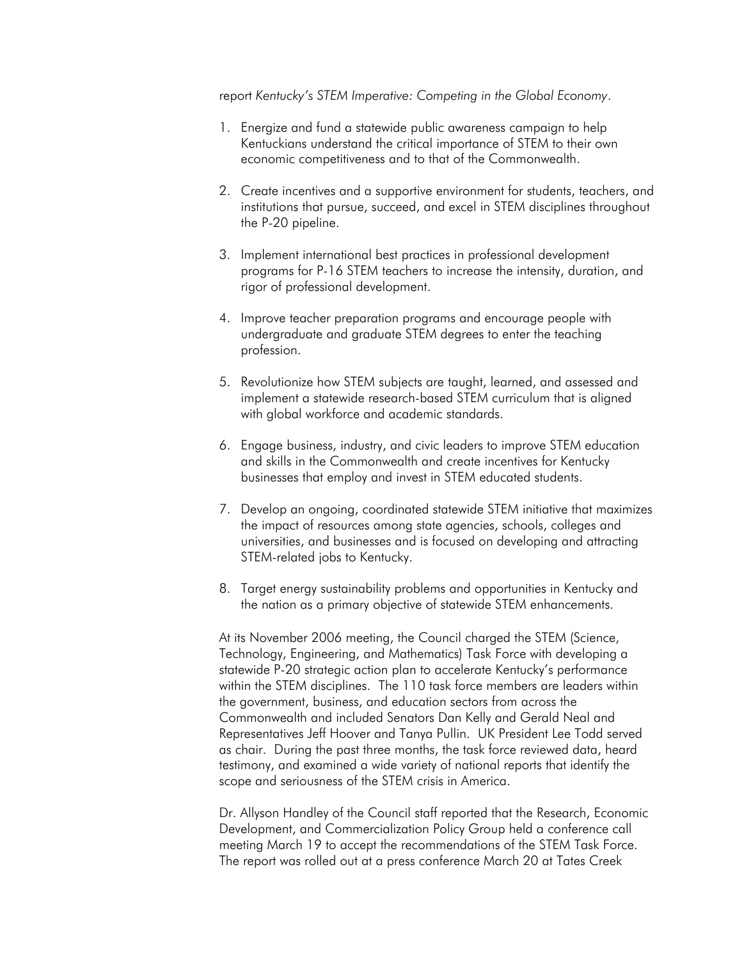report *Kentucky's STEM Imperative: Competing in the Global Economy*.

- 1. Energize and fund a statewide public awareness campaign to help Kentuckians understand the critical importance of STEM to their own economic competitiveness and to that of the Commonwealth.
- 2. Create incentives and a supportive environment for students, teachers, and institutions that pursue, succeed, and excel in STEM disciplines throughout the P-20 pipeline.
- 3. Implement international best practices in professional development programs for P-16 STEM teachers to increase the intensity, duration, and rigor of professional development.
- 4. Improve teacher preparation programs and encourage people with undergraduate and graduate STEM degrees to enter the teaching profession.
- 5. Revolutionize how STEM subjects are taught, learned, and assessed and implement a statewide research-based STEM curriculum that is aligned with global workforce and academic standards.
- 6. Engage business, industry, and civic leaders to improve STEM education and skills in the Commonwealth and create incentives for Kentucky businesses that employ and invest in STEM educated students.
- 7. Develop an ongoing, coordinated statewide STEM initiative that maximizes the impact of resources among state agencies, schools, colleges and universities, and businesses and is focused on developing and attracting STEM-related jobs to Kentucky.
- 8. Target energy sustainability problems and opportunities in Kentucky and the nation as a primary objective of statewide STEM enhancements.

At its November 2006 meeting, the Council charged the STEM (Science, Technology, Engineering, and Mathematics) Task Force with developing a statewide P-20 strategic action plan to accelerate Kentucky's performance within the STEM disciplines. The 110 task force members are leaders within the government, business, and education sectors from across the Commonwealth and included Senators Dan Kelly and Gerald Neal and Representatives Jeff Hoover and Tanya Pullin. UK President Lee Todd served as chair. During the past three months, the task force reviewed data, heard testimony, and examined a wide variety of national reports that identify the scope and seriousness of the STEM crisis in America.

Dr. Allyson Handley of the Council staff reported that the Research, Economic Development, and Commercialization Policy Group held a conference call meeting March 19 to accept the recommendations of the STEM Task Force. The report was rolled out at a press conference March 20 at Tates Creek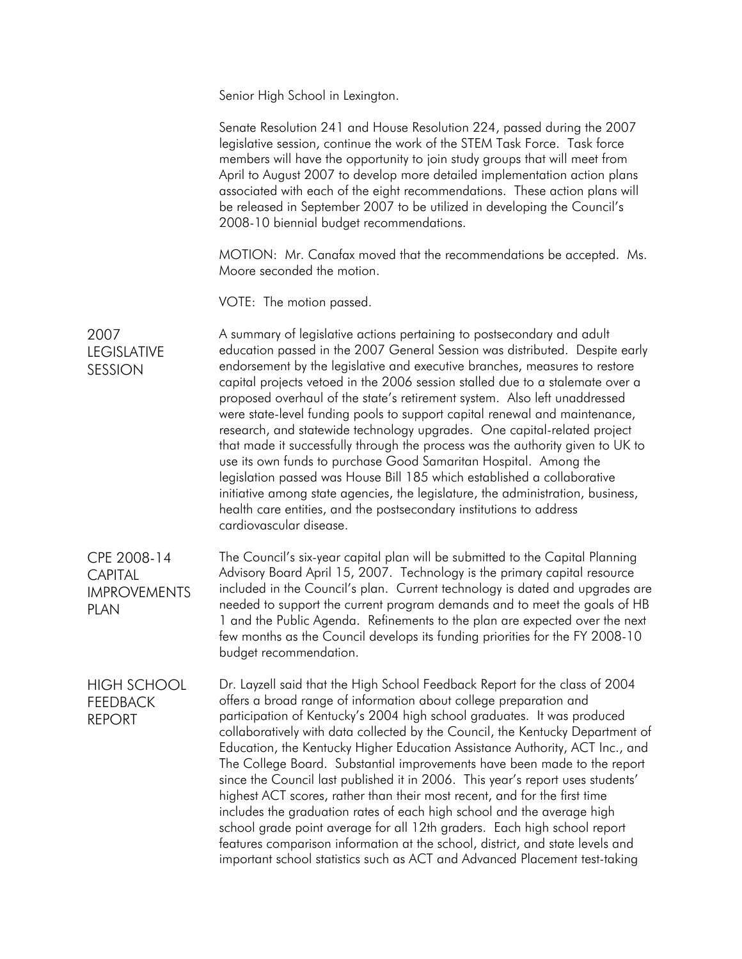Senior High School in Lexington.

| Senate Resolution 241 and House Resolution 224, passed during the 2007<br>legislative session, continue the work of the STEM Task Force. Task force<br>members will have the opportunity to join study groups that will meet from<br>April to August 2007 to develop more detailed implementation action plans<br>associated with each of the eight recommendations. These action plans will<br>be released in September 2007 to be utilized in developing the Council's<br>2008-10 biennial budget recommendations.                                                                                                                                                                                                                                                                                                                                                                                                                                                              |
|-----------------------------------------------------------------------------------------------------------------------------------------------------------------------------------------------------------------------------------------------------------------------------------------------------------------------------------------------------------------------------------------------------------------------------------------------------------------------------------------------------------------------------------------------------------------------------------------------------------------------------------------------------------------------------------------------------------------------------------------------------------------------------------------------------------------------------------------------------------------------------------------------------------------------------------------------------------------------------------|
| MOTION: Mr. Canafax moved that the recommendations be accepted. Ms.<br>Moore seconded the motion.                                                                                                                                                                                                                                                                                                                                                                                                                                                                                                                                                                                                                                                                                                                                                                                                                                                                                 |
| VOTE: The motion passed.                                                                                                                                                                                                                                                                                                                                                                                                                                                                                                                                                                                                                                                                                                                                                                                                                                                                                                                                                          |
| A summary of legislative actions pertaining to postsecondary and adult<br>education passed in the 2007 General Session was distributed. Despite early<br>endorsement by the legislative and executive branches, measures to restore<br>capital projects vetoed in the 2006 session stalled due to a stalemate over a<br>proposed overhaul of the state's retirement system. Also left unaddressed<br>were state-level funding pools to support capital renewal and maintenance,<br>research, and statewide technology upgrades. One capital-related project<br>that made it successfully through the process was the authority given to UK to<br>use its own funds to purchase Good Samaritan Hospital. Among the<br>legislation passed was House Bill 185 which established a collaborative<br>initiative among state agencies, the legislature, the administration, business,<br>health care entities, and the postsecondary institutions to address<br>cardiovascular disease. |
| The Council's six-year capital plan will be submitted to the Capital Planning<br>Advisory Board April 15, 2007. Technology is the primary capital resource<br>included in the Council's plan. Current technology is dated and upgrades are<br>needed to support the current program demands and to meet the goals of HB<br>1 and the Public Agenda. Refinements to the plan are expected over the next<br>few months as the Council develops its funding priorities for the FY 2008-10<br>budget recommendation.                                                                                                                                                                                                                                                                                                                                                                                                                                                                  |
| Dr. Layzell said that the High School Feedback Report for the class of 2004<br>offers a broad range of information about college preparation and<br>participation of Kentucky's 2004 high school graduates. It was produced<br>collaboratively with data collected by the Council, the Kentucky Department of<br>Education, the Kentucky Higher Education Assistance Authority, ACT Inc., and<br>The College Board. Substantial improvements have been made to the report<br>since the Council last published it in 2006. This year's report uses students'<br>highest ACT scores, rather than their most recent, and for the first time<br>includes the graduation rates of each high school and the average high<br>school grade point average for all 12th graders. Each high school report<br>features comparison information at the school, district, and state levels and<br>important school statistics such as ACT and Advanced Placement test-taking                     |
|                                                                                                                                                                                                                                                                                                                                                                                                                                                                                                                                                                                                                                                                                                                                                                                                                                                                                                                                                                                   |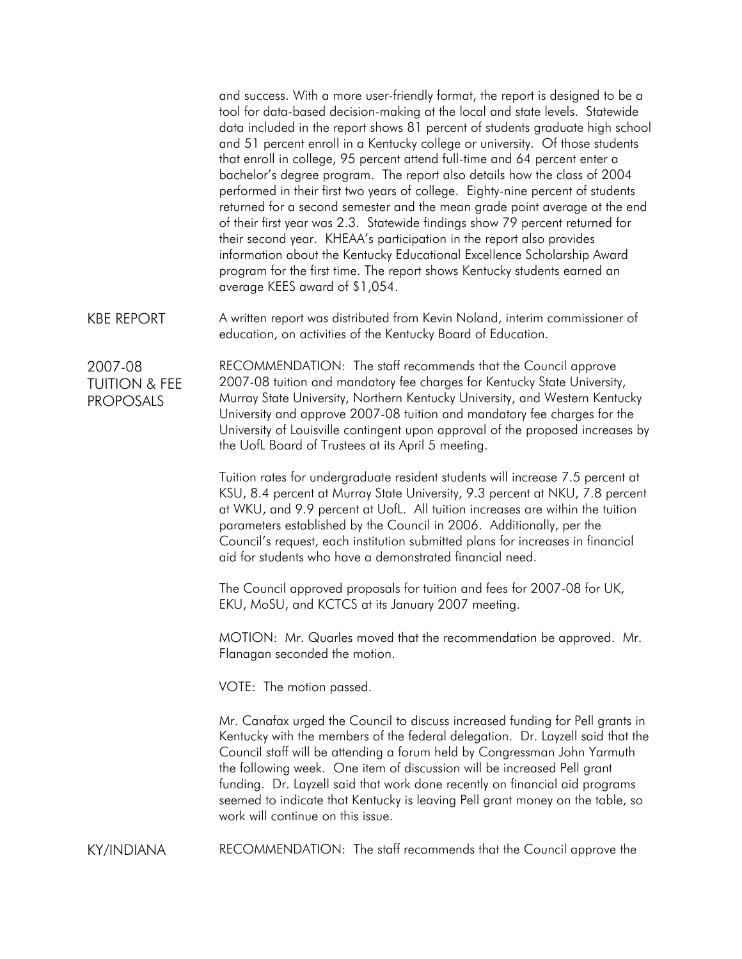and success. With a more user-friendly format, the report is designed to be a tool for data-based decision-making at the local and state levels. Statewide data included in the report shows 81 percent of students graduate high school and 51 percent enroll in a Kentucky college or university. Of those students that enroll in college, 95 percent attend full-time and 64 percent enter a bachelor's degree program. The report also details how the class of 2004 performed in their first two years of college. Eighty-nine percent of students returned for a second semester and the mean grade point average at the end of their first year was 2.3. Statewide findings show 79 percent returned for their second year. KHEAA's participation in the report also provides information about the Kentucky Educational Excellence Scholarship Award program for the first time. The report shows Kentucky students earned an average KEES award of \$1,054.

KBE REPORT A written report was distributed from Kevin Noland, interim commissioner of education, on activities of the Kentucky Board of Education.

2007-08 TUITION & FEE PROPOSALS

RECOMMENDATION: The staff recommends that the Council approve 2007-08 tuition and mandatory fee charges for Kentucky State University, Murray State University, Northern Kentucky University, and Western Kentucky University and approve 2007-08 tuition and mandatory fee charges for the University of Louisville contingent upon approval of the proposed increases by the UofL Board of Trustees at its April 5 meeting.

Tuition rates for undergraduate resident students will increase 7.5 percent at KSU, 8.4 percent at Murray State University, 9.3 percent at NKU, 7.8 percent at WKU, and 9.9 percent at UofL. All tuition increases are within the tuition parameters established by the Council in 2006. Additionally, per the Council's request, each institution submitted plans for increases in financial aid for students who have a demonstrated financial need.

The Council approved proposals for tuition and fees for 2007-08 for UK, EKU, MoSU, and KCTCS at its January 2007 meeting.

MOTION: Mr. Quarles moved that the recommendation be approved. Mr. Flanagan seconded the motion.

VOTE: The motion passed.

Mr. Canafax urged the Council to discuss increased funding for Pell grants in Kentucky with the members of the federal delegation. Dr. Layzell said that the Council staff will be attending a forum held by Congressman John Yarmuth the following week. One item of discussion will be increased Pell grant funding. Dr. Layzell said that work done recently on financial aid programs seemed to indicate that Kentucky is leaving Pell grant money on the table, so work will continue on this issue.

KY/INDIANA RECOMMENDATION: The staff recommends that the Council approve the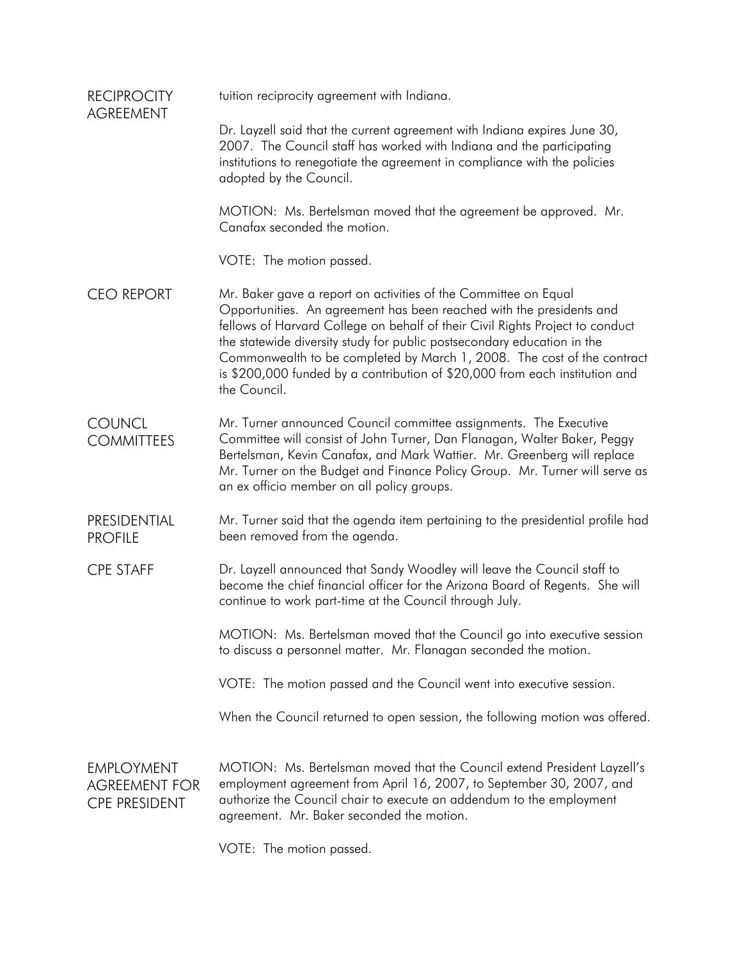| <b>RECIPROCITY</b><br><b>AGREEMENT</b>                            | tuition reciprocity agreement with Indiana.                                                                                                                                                                                                                                                                                                                                                                                                                                   |
|-------------------------------------------------------------------|-------------------------------------------------------------------------------------------------------------------------------------------------------------------------------------------------------------------------------------------------------------------------------------------------------------------------------------------------------------------------------------------------------------------------------------------------------------------------------|
|                                                                   | Dr. Layzell said that the current agreement with Indiana expires June 30,<br>2007. The Council staff has worked with Indiana and the participating<br>institutions to renegotiate the agreement in compliance with the policies<br>adopted by the Council.                                                                                                                                                                                                                    |
|                                                                   | MOTION: Ms. Bertelsman moved that the agreement be approved. Mr.<br>Canafax seconded the motion.                                                                                                                                                                                                                                                                                                                                                                              |
|                                                                   | VOTE: The motion passed.                                                                                                                                                                                                                                                                                                                                                                                                                                                      |
| <b>CEO REPORT</b>                                                 | Mr. Baker gave a report on activities of the Committee on Equal<br>Opportunities. An agreement has been reached with the presidents and<br>fellows of Harvard College on behalf of their Civil Rights Project to conduct<br>the statewide diversity study for public postsecondary education in the<br>Commonwealth to be completed by March 1, 2008. The cost of the contract<br>is \$200,000 funded by a contribution of \$20,000 from each institution and<br>the Council. |
| <b>COUNCL</b><br><b>COMMITTEES</b>                                | Mr. Turner announced Council committee assignments. The Executive<br>Committee will consist of John Turner, Dan Flanagan, Walter Baker, Peggy<br>Bertelsman, Kevin Canafax, and Mark Wattier. Mr. Greenberg will replace<br>Mr. Turner on the Budget and Finance Policy Group. Mr. Turner will serve as<br>an ex officio member on all policy groups.                                                                                                                         |
| PRESIDENTIAL<br><b>PROFILE</b>                                    | Mr. Turner said that the agenda item pertaining to the presidential profile had<br>been removed from the agenda.                                                                                                                                                                                                                                                                                                                                                              |
| <b>CPE STAFF</b>                                                  | Dr. Layzell announced that Sandy Woodley will leave the Council staff to<br>become the chief financial officer for the Arizona Board of Regents. She will<br>continue to work part-time at the Council through July.                                                                                                                                                                                                                                                          |
|                                                                   | MOTION: Ms. Bertelsman moved that the Council go into executive session<br>to discuss a personnel matter. Mr. Flanagan seconded the motion.                                                                                                                                                                                                                                                                                                                                   |
|                                                                   | VOTE: The motion passed and the Council went into executive session.                                                                                                                                                                                                                                                                                                                                                                                                          |
|                                                                   | When the Council returned to open session, the following motion was offered.                                                                                                                                                                                                                                                                                                                                                                                                  |
| <b>EMPLOYMENT</b><br><b>AGREEMENT FOR</b><br><b>CPE PRESIDENT</b> | MOTION: Ms. Bertelsman moved that the Council extend President Layzell's<br>employment agreement from April 16, 2007, to September 30, 2007, and<br>authorize the Council chair to execute an addendum to the employment<br>agreement. Mr. Baker seconded the motion.                                                                                                                                                                                                         |
|                                                                   |                                                                                                                                                                                                                                                                                                                                                                                                                                                                               |

VOTE: The motion passed.